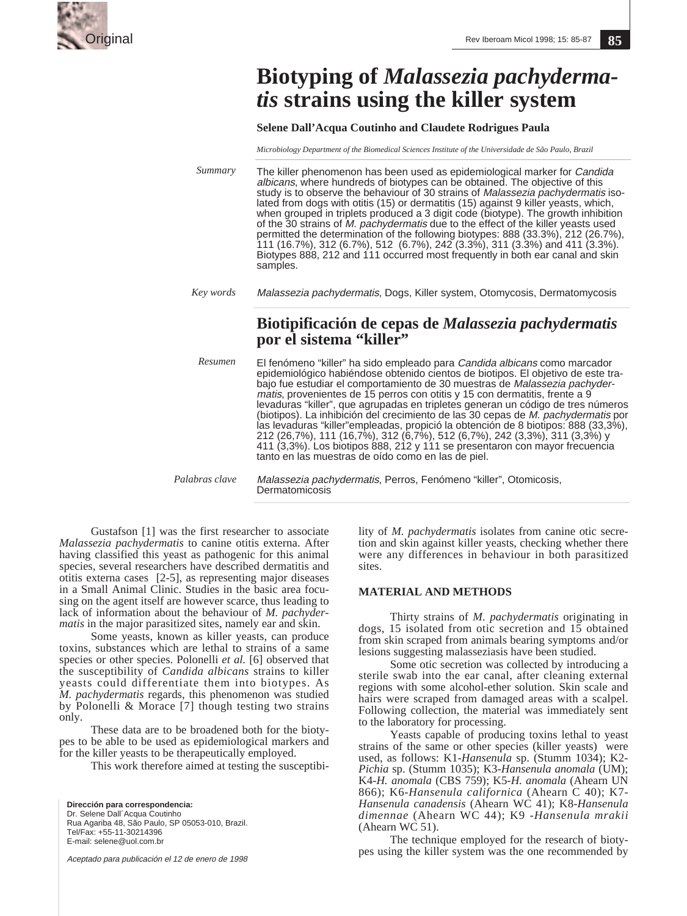

# **Biotyping of** *Malassezia pachydermatis* **strains using the killer system**

**Selene Dall'Acqua Coutinho and Claudete Rodrigues Paula**

*Microbiology Department of the Biomedical Sciences Institute of the Universidade de São Paulo, Brazil*

The killer phenomenon has been used as epidemiological marker for Candida albicans, where hundreds of biotypes can be obtained. The objective of this study is to observe the behaviour of 30 strains of Malassezia pachydermatis isolated from dogs with otitis (15) or dermatitis (15) against 9 killer yeasts, which, when grouped in triplets produced a 3 digit code (biotype). The growth inhibition of the 30 strains of M. pachydermatis due to the effect of the killer yeasts used permitted the determination of the following biotypes: 888 (33.3%), 212 (26.7%), 111 (16.7%), 312 (6.7%), 512 (6.7%), 242 (3.3%), 311 (3.3%) and 411 (3.3%). Biotypes 888, 212 and 111 occurred most frequently in both ear canal and skin samples. *Summary*

Malassezia pachydermatis, Dogs, Killer system, Otomycosis, Dermatomycosis *Key words*

# **Biotipificación de cepas de** *Malassezia pachydermatis*  **por el sistema "killer"**

El fenómeno "killer" ha sido empleado para Candida albicans como marcador epidemiológico habiéndose obtenido cientos de biotipos. El objetivo de este trabajo fue estudiar el comportamiento de 30 muestras de Malassezia pachydermatis, provenientes de 15 perros con otitis y 15 con dermatitis, frente a 9 levaduras "killer", que agrupadas en tripletes generan un código de tres números (biotipos). La inhibición del crecimiento de las 30 cepas de M. pachydermatis por las levaduras "killer"empleadas, propició la obtención de 8 biotipos: 888 (33,3%), 212 (26,7%), 111 (16,7%), 312 (6,7%), 512 (6,7%), 242 (3,3%), 311 (3,3%) y 411 (3,3%). Los biotipos 888, 212 y 111 se presentaron con mayor frecuencia tanto en las muestras de oído como en las de piel. *Resumen*

Malassezia pachydermatis, Perros, Fenómeno "killer", Otomicosis, Dermatomicosis *Palabras clave*

Gustafson [1] was the first researcher to associate *Malassezia pachydermatis* to canine otitis externa. After having classified this yeast as pathogenic for this animal species, several researchers have described dermatitis and otitis externa cases [2-5], as representing major diseases in a Small Animal Clinic. Studies in the basic area focusing on the agent itself are however scarce, thus leading to lack of information about the behaviour of *M. pachydermatis* in the major parasitized sites, namely ear and skin.

Some yeasts, known as killer yeasts, can produce toxins, substances which are lethal to strains of a same species or other species. Polonelli *et al.* [6] observed that the susceptibility of *Candida albicans* strains to killer yeasts could differentiate them into biotypes. As *M. pachydermatis* regards, this phenomenon was studied by Polonelli & Morace [7] though testing two strains only.

These data are to be broadened both for the biotypes to be able to be used as epidemiological markers and for the killer yeasts to be therapeutically employed.

This work therefore aimed at testing the susceptibi-

**Dirección para correspondencia:** Dr. Selene Dall´Acqua Coutinho Rua Agariba 48, São Paulo, SP 05053-010, Brazil. Tel/Fax: +55-11-30214396 E-mail: selene@uol.com.br

Aceptado para publicación el 12 de enero de 1998

lity of *M. pachydermatis* isolates from canine otic secretion and skin against killer yeasts, checking whether there were any differences in behaviour in both parasitized sites.

## **MATERIAL AND METHODS**

Thirty strains of *M. pachydermatis* originating in dogs, 15 isolated from otic secretion and 15 obtained from skin scraped from animals bearing symptoms and/or lesions suggesting malasseziasis have been studied.

Some otic secretion was collected by introducing a sterile swab into the ear canal, after cleaning external regions with some alcohol-ether solution. Skin scale and hairs were scraped from damaged areas with a scalpel. Following collection, the material was immediately sent to the laboratory for processing.

Yeasts capable of producing toxins lethal to yeast strains of the same or other species (killer yeasts) were used, as follows: K1-*Hansenula* sp. (Stumm 1034); K2- *Pichia* sp. (Stumm 1035); K3-*Hansenula anomala* (UM); K4-*H. anomala* (CBS 759); K5-*H. anomala* (Ahearn UN 866); K6-*Hansenula californica* (Ahearn C 40); K7- *Hansenula canadensis* (Ahearn WC 41); K8-*Hansenula dimennae* (Ahearn WC 44); K9 -*Hansenula mrakii* (Ahearn WC 51).

The technique employed for the research of biotypes using the killer system was the one recommended by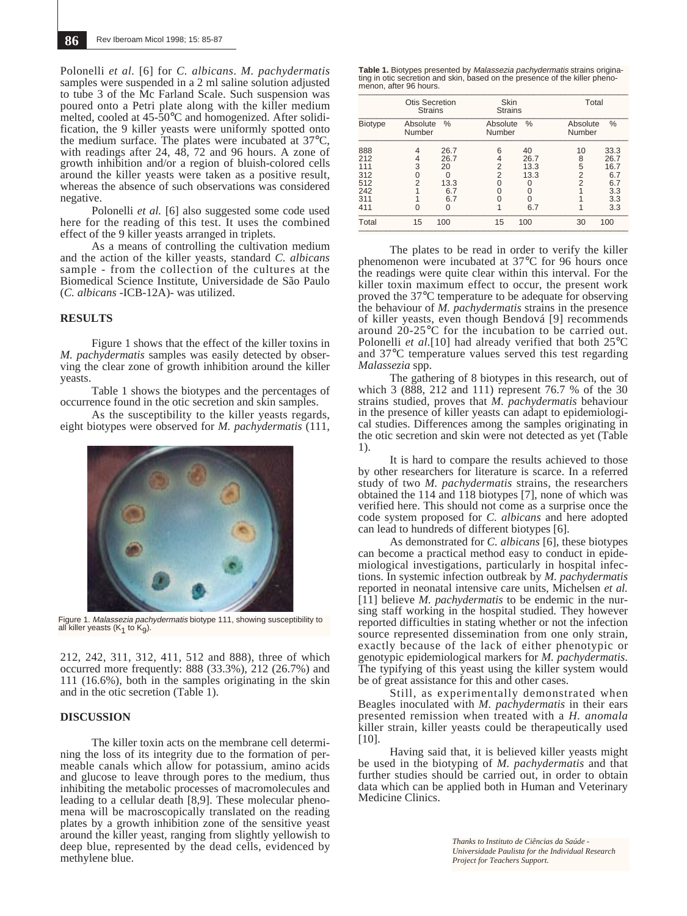Polonelli *et al.* [6] for *C. albicans*. *M. pachydermatis* samples were suspended in a 2 ml saline solution adjusted to tube 3 of the Mc Farland Scale. Such suspension was poured onto a Petri plate along with the killer medium melted, cooled at 45-50°C and homogenized. After solidification, the 9 killer yeasts were uniformly spotted onto the medium surface. The plates were incubated at 37°C, with readings after 24,  $48$ , 72 and 96 hours. A zone of growth inhibition and/or a region of bluish-colored cells around the killer yeasts were taken as a positive result, whereas the absence of such observations was considered negative.

Polonelli *et al.* [6] also suggested some code used here for the reading of this test. It uses the combined effect of the 9 killer yeasts arranged in triplets.

As a means of controlling the cultivation medium and the action of the killer yeasts, standard *C. albicans* sample - from the collection of the cultures at the Biomedical Science Institute, Universidade de São Paulo (*C. albicans* -ICB-12A)- was utilized.

### **RESULTS**

Figure 1 shows that the effect of the killer toxins in *M. pachydermatis* samples was easily detected by observing the clear zone of growth inhibition around the killer yeasts.

Table 1 shows the biotypes and the percentages of occurrence found in the otic secretion and skin samples.

As the susceptibility to the killer yeasts regards, eight biotypes were observed for *M. pachydermatis* (111,



Figure 1. Malassezia pachydermatis biotype 111, showing susceptibility to all killer yeasts  $(K_1$  to  $K_0$ ).

212, 242, 311, 312, 411, 512 and 888), three of which occurred more frequently: 888 (33.3%), 212 (26.7%) and 111 (16.6%), both in the samples originating in the skin and in the otic secretion (Table 1).

#### **DISCUSSION**

The killer toxin acts on the membrane cell determining the loss of its integrity due to the formation of permeable canals which allow for potassium, amino acids and glucose to leave through pores to the medium, thus inhibiting the metabolic processes of macromolecules and leading to a cellular death [8,9]. These molecular phenomena will be macroscopically translated on the reading plates by a growth inhibition zone of the sensitive yeast around the killer yeast, ranging from slightly yellowish to deep blue, represented by the dead cells, evidenced by methylene blue.

| Table 1. Biotypes presented by <i>Malassezia pachydermatis</i> strains origina-                       |
|-------------------------------------------------------------------------------------------------------|
| ting in otic secretion and skin, based on the presence of the killer pheno-<br>menon, after 96 hours. |
|                                                                                                       |

|                                                      | Otis Secretion<br><b>Strains</b><br>Absolute<br>%<br>Number |                                                    | Skin<br><b>Strains</b><br>Absolute<br>$\%$<br>Number |                                                  | Total<br>%<br>Absolute<br>Number    |                                                         |
|------------------------------------------------------|-------------------------------------------------------------|----------------------------------------------------|------------------------------------------------------|--------------------------------------------------|-------------------------------------|---------------------------------------------------------|
| <b>Biotype</b>                                       |                                                             |                                                    |                                                      |                                                  |                                     |                                                         |
| 888<br>212<br>111<br>312<br>512<br>242<br>311<br>411 | 4<br>4<br>3<br>0<br>2<br>O                                  | 26.7<br>26.7<br>20<br>O<br>13.3<br>6.7<br>6.7<br>ი | 6<br>4<br>$\overline{2}$<br>2<br>0<br>U<br>0         | 40<br>26.7<br>13.3<br>13.3<br>0<br>O<br>0<br>6.7 | 10<br>8<br>5<br>2<br>$\overline{2}$ | 33.3<br>26.7<br>16.7<br>6.7<br>6.7<br>3.3<br>3.3<br>3.3 |
| Total                                                | 15                                                          | 100                                                | 15                                                   | 100                                              | 30                                  | 100                                                     |

The plates to be read in order to verify the killer phenomenon were incubated at 37°C for 96 hours once the readings were quite clear within this interval. For the killer toxin maximum effect to occur, the present work proved the 37°C temperature to be adequate for observing the behaviour of *M. pachydermatis* strains in the presence of killer yeasts, even though Bendová [9] recommends around 20-25°C for the incubation to be carried out. Polonelli *et al.*[10] had already verified that both 25°C and 37°C temperature values served this test regarding *Malassezia* spp.

The gathering of 8 biotypes in this research, out of which 3 (888, 212 and 111) represent 76.7 % of the 30 strains studied, proves that *M. pachydermatis* behaviour in the presence of killer yeasts can adapt to epidemiological studies. Differences among the samples originating in the otic secretion and skin were not detected as yet (Table 1).

It is hard to compare the results achieved to those by other researchers for literature is scarce. In a referred study of two *M. pachydermatis* strains, the researchers obtained the 114 and 118 biotypes [7], none of which was verified here. This should not come as a surprise once the code system proposed for *C. albicans* and here adopted can lead to hundreds of different biotypes [6].

As demonstrated for *C. albicans* [6], these biotypes can become a practical method easy to conduct in epidemiological investigations, particularly in hospital infections. In systemic infection outbreak by *M. pachydermatis* reported in neonatal intensive care units, Michelsen *et al.* [11] believe *M. pachydermatis* to be endemic in the nursing staff working in the hospital studied. They however reported difficulties in stating whether or not the infection source represented dissemination from one only strain, exactly because of the lack of either phenotypic or genotypic epidemiological markers for *M. pachydermatis.* The typifying of this yeast using the killer system would be of great assistance for this and other cases.

Still, as experimentally demonstrated when Beagles inoculated with *M. pachydermatis* in their ears presented remission when treated with a *H. anomala* killer strain, killer yeasts could be therapeutically used [10].

Having said that, it is believed killer yeasts might be used in the biotyping of *M. pachydermatis* and that further studies should be carried out, in order to obtain data which can be applied both in Human and Veterinary Medicine Clinics.

> *Thanks to Instituto de Ciências da Saúde - Universidade Paulista for the Individual Research Project for Teachers Support.*